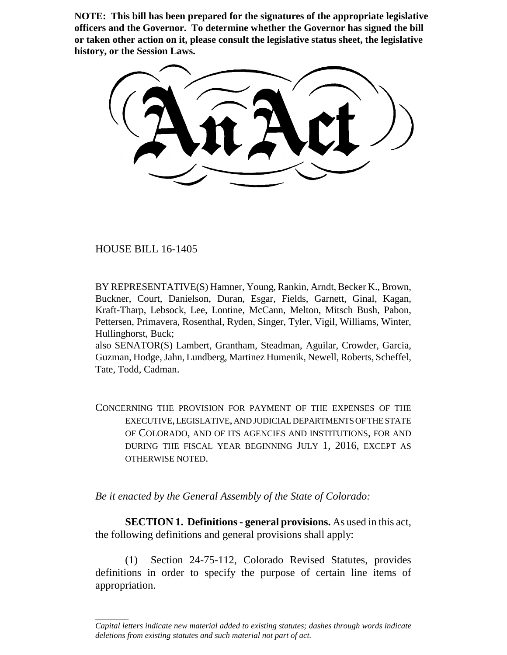**NOTE: This bill has been prepared for the signatures of the appropriate legislative officers and the Governor. To determine whether the Governor has signed the bill or taken other action on it, please consult the legislative status sheet, the legislative history, or the Session Laws.**

HOUSE BILL 16-1405

\_\_\_\_\_\_\_\_

BY REPRESENTATIVE(S) Hamner, Young, Rankin, Arndt, Becker K., Brown, Buckner, Court, Danielson, Duran, Esgar, Fields, Garnett, Ginal, Kagan, Kraft-Tharp, Lebsock, Lee, Lontine, McCann, Melton, Mitsch Bush, Pabon, Pettersen, Primavera, Rosenthal, Ryden, Singer, Tyler, Vigil, Williams, Winter, Hullinghorst, Buck;

also SENATOR(S) Lambert, Grantham, Steadman, Aguilar, Crowder, Garcia, Guzman, Hodge, Jahn, Lundberg, Martinez Humenik, Newell, Roberts, Scheffel, Tate, Todd, Cadman.

CONCERNING THE PROVISION FOR PAYMENT OF THE EXPENSES OF THE EXECUTIVE, LEGISLATIVE, AND JUDICIAL DEPARTMENTS OF THE STATE OF COLORADO, AND OF ITS AGENCIES AND INSTITUTIONS, FOR AND DURING THE FISCAL YEAR BEGINNING JULY 1, 2016, EXCEPT AS OTHERWISE NOTED.

*Be it enacted by the General Assembly of the State of Colorado:*

**SECTION 1. Definitions - general provisions.** As used in this act, the following definitions and general provisions shall apply:

(1) Section 24-75-112, Colorado Revised Statutes, provides definitions in order to specify the purpose of certain line items of appropriation.

*Capital letters indicate new material added to existing statutes; dashes through words indicate deletions from existing statutes and such material not part of act.*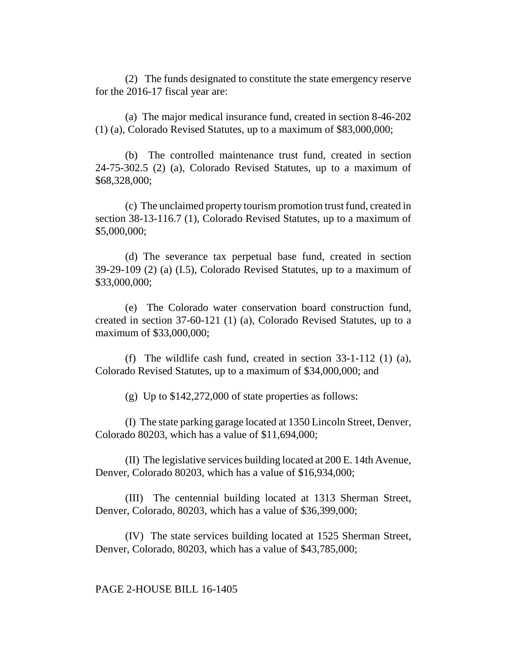(2) The funds designated to constitute the state emergency reserve for the 2016-17 fiscal year are:

(a) The major medical insurance fund, created in section 8-46-202 (1) (a), Colorado Revised Statutes, up to a maximum of \$83,000,000;

(b) The controlled maintenance trust fund, created in section 24-75-302.5 (2) (a), Colorado Revised Statutes, up to a maximum of \$68,328,000;

(c) The unclaimed property tourism promotion trust fund, created in section 38-13-116.7 (1), Colorado Revised Statutes, up to a maximum of \$5,000,000;

(d) The severance tax perpetual base fund, created in section 39-29-109 (2) (a) (I.5), Colorado Revised Statutes, up to a maximum of \$33,000,000;

(e) The Colorado water conservation board construction fund, created in section 37-60-121 (1) (a), Colorado Revised Statutes, up to a maximum of \$33,000,000;

(f) The wildlife cash fund, created in section 33-1-112 (1) (a), Colorado Revised Statutes, up to a maximum of \$34,000,000; and

(g) Up to \$142,272,000 of state properties as follows:

(I) The state parking garage located at 1350 Lincoln Street, Denver, Colorado 80203, which has a value of \$11,694,000;

(II) The legislative services building located at 200 E. 14th Avenue, Denver, Colorado 80203, which has a value of \$16,934,000;

(III) The centennial building located at 1313 Sherman Street, Denver, Colorado, 80203, which has a value of \$36,399,000;

(IV) The state services building located at 1525 Sherman Street, Denver, Colorado, 80203, which has a value of \$43,785,000;

### PAGE 2-HOUSE BILL 16-1405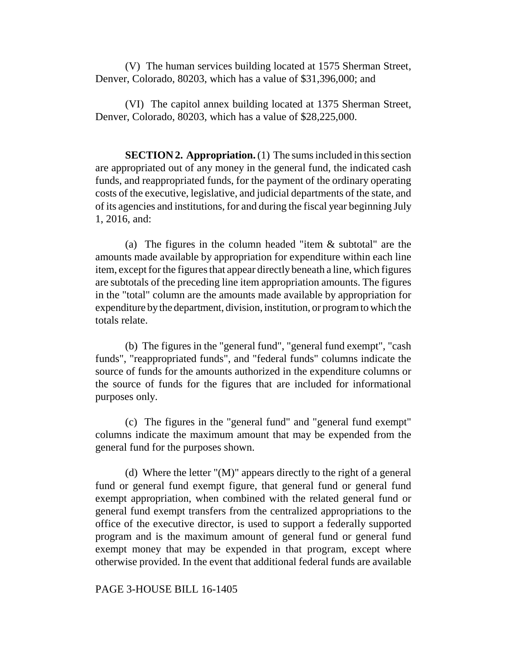(V) The human services building located at 1575 Sherman Street, Denver, Colorado, 80203, which has a value of \$31,396,000; and

(VI) The capitol annex building located at 1375 Sherman Street, Denver, Colorado, 80203, which has a value of \$28,225,000.

**SECTION 2. Appropriation.** (1) The sums included in this section are appropriated out of any money in the general fund, the indicated cash funds, and reappropriated funds, for the payment of the ordinary operating costs of the executive, legislative, and judicial departments of the state, and of its agencies and institutions, for and during the fiscal year beginning July 1, 2016, and:

(a) The figures in the column headed "item & subtotal" are the amounts made available by appropriation for expenditure within each line item, except for the figures that appear directly beneath a line, which figures are subtotals of the preceding line item appropriation amounts. The figures in the "total" column are the amounts made available by appropriation for expenditure by the department, division, institution, or program to which the totals relate.

(b) The figures in the "general fund", "general fund exempt", "cash funds", "reappropriated funds", and "federal funds" columns indicate the source of funds for the amounts authorized in the expenditure columns or the source of funds for the figures that are included for informational purposes only.

(c) The figures in the "general fund" and "general fund exempt" columns indicate the maximum amount that may be expended from the general fund for the purposes shown.

(d) Where the letter "(M)" appears directly to the right of a general fund or general fund exempt figure, that general fund or general fund exempt appropriation, when combined with the related general fund or general fund exempt transfers from the centralized appropriations to the office of the executive director, is used to support a federally supported program and is the maximum amount of general fund or general fund exempt money that may be expended in that program, except where otherwise provided. In the event that additional federal funds are available

### PAGE 3-HOUSE BILL 16-1405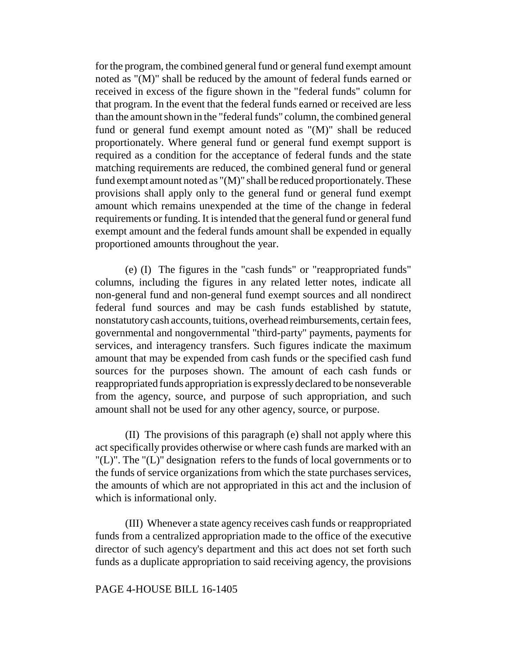for the program, the combined general fund or general fund exempt amount noted as "(M)" shall be reduced by the amount of federal funds earned or received in excess of the figure shown in the "federal funds" column for that program. In the event that the federal funds earned or received are less than the amount shown in the "federal funds" column, the combined general fund or general fund exempt amount noted as "(M)" shall be reduced proportionately. Where general fund or general fund exempt support is required as a condition for the acceptance of federal funds and the state matching requirements are reduced, the combined general fund or general fund exempt amount noted as "(M)" shall be reduced proportionately. These provisions shall apply only to the general fund or general fund exempt amount which remains unexpended at the time of the change in federal requirements or funding. It is intended that the general fund or general fund exempt amount and the federal funds amount shall be expended in equally proportioned amounts throughout the year.

(e) (I) The figures in the "cash funds" or "reappropriated funds" columns, including the figures in any related letter notes, indicate all non-general fund and non-general fund exempt sources and all nondirect federal fund sources and may be cash funds established by statute, nonstatutory cash accounts, tuitions, overhead reimbursements, certain fees, governmental and nongovernmental "third-party" payments, payments for services, and interagency transfers. Such figures indicate the maximum amount that may be expended from cash funds or the specified cash fund sources for the purposes shown. The amount of each cash funds or reappropriated funds appropriation is expressly declared to be nonseverable from the agency, source, and purpose of such appropriation, and such amount shall not be used for any other agency, source, or purpose.

(II) The provisions of this paragraph (e) shall not apply where this act specifically provides otherwise or where cash funds are marked with an "(L)". The "(L)" designation refers to the funds of local governments or to the funds of service organizations from which the state purchases services, the amounts of which are not appropriated in this act and the inclusion of which is informational only.

(III) Whenever a state agency receives cash funds or reappropriated funds from a centralized appropriation made to the office of the executive director of such agency's department and this act does not set forth such funds as a duplicate appropriation to said receiving agency, the provisions

### PAGE 4-HOUSE BILL 16-1405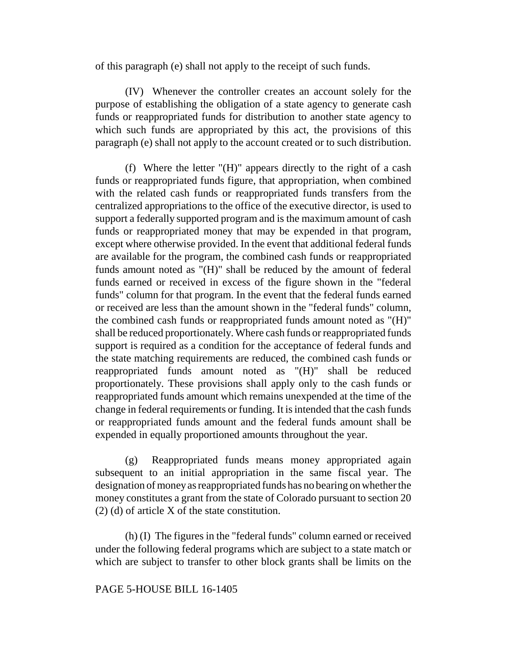of this paragraph (e) shall not apply to the receipt of such funds.

(IV) Whenever the controller creates an account solely for the purpose of establishing the obligation of a state agency to generate cash funds or reappropriated funds for distribution to another state agency to which such funds are appropriated by this act, the provisions of this paragraph (e) shall not apply to the account created or to such distribution.

(f) Where the letter "(H)" appears directly to the right of a cash funds or reappropriated funds figure, that appropriation, when combined with the related cash funds or reappropriated funds transfers from the centralized appropriations to the office of the executive director, is used to support a federally supported program and is the maximum amount of cash funds or reappropriated money that may be expended in that program, except where otherwise provided. In the event that additional federal funds are available for the program, the combined cash funds or reappropriated funds amount noted as "(H)" shall be reduced by the amount of federal funds earned or received in excess of the figure shown in the "federal funds" column for that program. In the event that the federal funds earned or received are less than the amount shown in the "federal funds" column, the combined cash funds or reappropriated funds amount noted as "(H)" shall be reduced proportionately. Where cash funds or reappropriated funds support is required as a condition for the acceptance of federal funds and the state matching requirements are reduced, the combined cash funds or reappropriated funds amount noted as "(H)" shall be reduced proportionately. These provisions shall apply only to the cash funds or reappropriated funds amount which remains unexpended at the time of the change in federal requirements or funding. It is intended that the cash funds or reappropriated funds amount and the federal funds amount shall be expended in equally proportioned amounts throughout the year.

(g) Reappropriated funds means money appropriated again subsequent to an initial appropriation in the same fiscal year. The designation of money as reappropriated funds has no bearing on whether the money constitutes a grant from the state of Colorado pursuant to section 20 (2) (d) of article X of the state constitution.

(h) (I) The figures in the "federal funds" column earned or received under the following federal programs which are subject to a state match or which are subject to transfer to other block grants shall be limits on the

## PAGE 5-HOUSE BILL 16-1405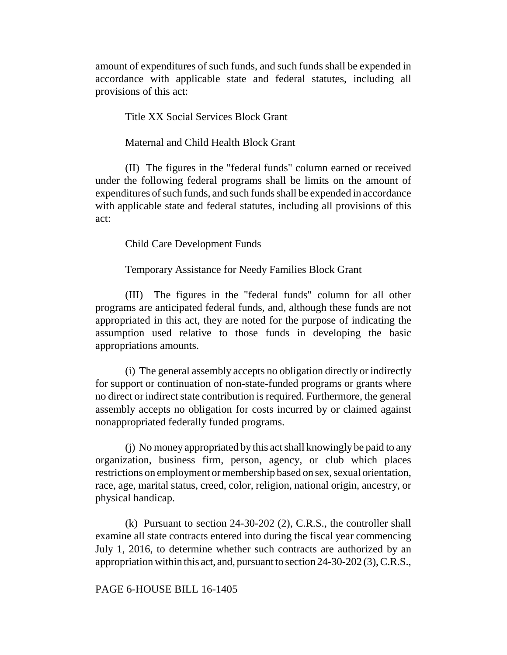amount of expenditures of such funds, and such funds shall be expended in accordance with applicable state and federal statutes, including all provisions of this act:

# Title XX Social Services Block Grant

### Maternal and Child Health Block Grant

(II) The figures in the "federal funds" column earned or received under the following federal programs shall be limits on the amount of expenditures of such funds, and such funds shall be expended in accordance with applicable state and federal statutes, including all provisions of this act:

## Child Care Development Funds

Temporary Assistance for Needy Families Block Grant

(III) The figures in the "federal funds" column for all other programs are anticipated federal funds, and, although these funds are not appropriated in this act, they are noted for the purpose of indicating the assumption used relative to those funds in developing the basic appropriations amounts.

(i) The general assembly accepts no obligation directly or indirectly for support or continuation of non-state-funded programs or grants where no direct or indirect state contribution is required. Furthermore, the general assembly accepts no obligation for costs incurred by or claimed against nonappropriated federally funded programs.

(j) No money appropriated by this act shall knowingly be paid to any organization, business firm, person, agency, or club which places restrictions on employment or membership based on sex, sexual orientation, race, age, marital status, creed, color, religion, national origin, ancestry, or physical handicap.

(k) Pursuant to section 24-30-202 (2), C.R.S., the controller shall examine all state contracts entered into during the fiscal year commencing July 1, 2016, to determine whether such contracts are authorized by an appropriation within this act, and, pursuant to section 24-30-202 (3), C.R.S.,

### PAGE 6-HOUSE BILL 16-1405